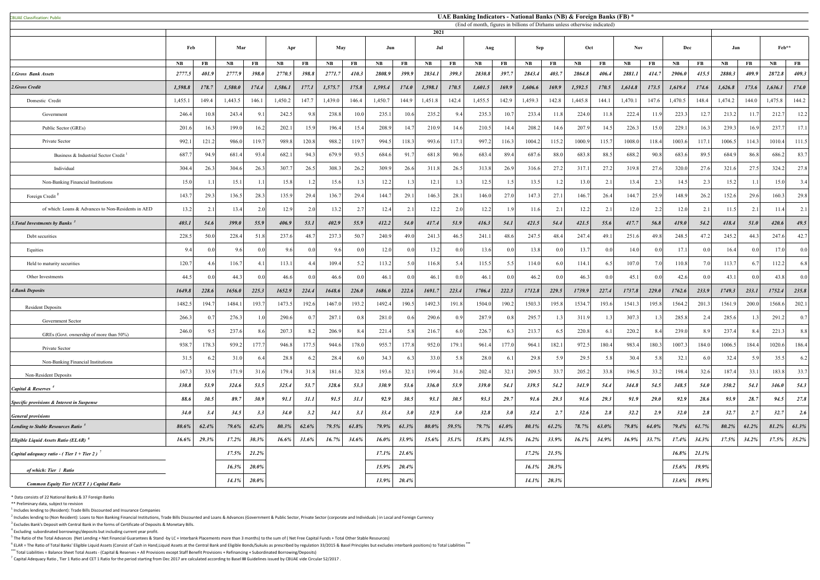| <b>BUAE Classification: Public</b>                        |             |                |           |          |             |       |          |       |           |       |          |       | UAE Banking Indicators - National Banks (NB) & Foreign Banks (FB) *       |       |           |       |               |                  |            |             |               |       |         |          |               |       |
|-----------------------------------------------------------|-------------|----------------|-----------|----------|-------------|-------|----------|-------|-----------|-------|----------|-------|---------------------------------------------------------------------------|-------|-----------|-------|---------------|------------------|------------|-------------|---------------|-------|---------|----------|---------------|-------|
|                                                           |             |                |           |          |             |       |          |       |           |       | 2021     |       | (End of month, figures in billions of Dirhams unless otherwise indicated) |       |           |       |               |                  |            |             |               |       |         |          |               |       |
|                                                           |             |                |           |          |             |       |          |       |           |       |          |       |                                                                           |       |           |       |               |                  |            |             |               |       |         |          |               |       |
|                                                           | Feb         |                | Mar       |          | Apr         |       | May      |       | Jun       |       | Jul      |       | Aug                                                                       |       | Sep       |       | Oct           |                  | <b>Nov</b> |             | Dec           |       | Jan     |          | Feb**         |       |
|                                                           | <b>NB</b>   | FB             | <b>NB</b> | FB       | NB          | FB    | NB       | FB    | <b>NB</b> | FB    | NB       | FB    | NB                                                                        | FB    | <b>NB</b> | FB    | $N\mathbf{B}$ | FB               | NB         | FB          | $N\mathbf{B}$ | FB    | NB      | FB       | $N\mathbf{B}$ | FB    |
| 1.Gross Bank Assets                                       | 2777.5      | 401.9          | 2777.9    | 398.0    | 2770.5      | 398.8 | 2771.7   | 410.3 | 2808.9    | 399.9 | 2834.1   | 399.3 | 2830.8                                                                    | 397.7 | 2843.4    | 403.7 | 2864.8        | 406.4            | 2881.1     | 414.7       | 2906.0        | 415.5 | 2880.3  | 409.9    | 2872.8        | 409.3 |
| 2.Gross Credit                                            | 1,598.8     | 178.7          | 1,580.0   | 174.4    | 1,586.1     | 177.1 | 1,575.7  | 175.8 | 1,595.4   | 174.0 | 1,598.1  | 170.5 | 1,601.5                                                                   | 169.9 | 1,606.6   | 169.9 | 1,592.5       | 170.5            | 1,614.8    | 173.5       | 1,619.4       | 174.6 | 1,626.8 | 173.6    | 1,636.1       | 174.0 |
| Domestic Credit                                           | 1,455.1     | 149.4          | 1,443.5   | 146.1    | 1,450.2     | 147.7 | 1,439.0  | 146.4 | 1,450.7   | 144.9 | 1,451.8  | 142.4 | 1,455.5                                                                   | 142.9 | 1,459.3   | 142.8 | 1,445.8       | 144.1            | 1,470.1    | 147.6       | 1,470.5       | 148.4 | 1,474.2 | 144.0    | 1,475.8       | 144.2 |
| Government                                                | 246.4       | 10.8           | 243.4     | 9.1      | 242.5       | 9.8   | 238.8    | 10.0  | 235.1     | 10.6  | 235.2    | 9.4   | 235.3                                                                     | 10.7  | 233.4     | 11.8  | 224.0         | 11.8             | 222.4      | 11.9        | 223.3         | 12.7  | 213.2   | -11.     | 212.7         | 12.2  |
| Public Sector (GREs)                                      | 201.6       | 16.3           | 199.0     | 16.2     | 202.1       | 15.9  | 196.4    | 15.4  | 208.9     | 14.7  | 210.9    | 14.6  | 210.5                                                                     | 14.4  | 208.2     | 14.6  | 207.9         | 14.5             | 226.3      | 15.0        | 229.1         | 16.3  | 239.3   | 16.9     | 237.          | 17.1  |
| Private Sector                                            | 992.        | 121.           | 986.0     | 119.7    | 989.8       | 120.8 | 988.2    | 119.  | 994.5     | 118.3 | 993.6    | 117.1 | 997.2                                                                     | 116.3 | 1004.2    | 115.2 | 1000.9        | 115.7            | 1008.0     | 118.4       | 1003.6        | 117.1 | 1006.5  | 114.     | 1010.4        | 111.5 |
| Business & Industrial Sector Credit                       | 687.        | 94.9           | 681.4     | 93.4     | 682.1       | 94.3  | 679.9    | 93.5  | 684.6     | 91.7  | 681.8    | 90.6  | 683.4                                                                     | 89.4  | 687.6     | 88.0  | 683.8         | 88.5             | 688.2      | 90.8        | 683.6         | 89.5  | 684.9   | 86.8     | 686.2         | 83.7  |
| Individual                                                | 304.4       | 26.3           | 304.6     | 26.3     | 307.7       | 26.5  | 308.3    | 26.2  | 309.9     | 26.6  | 311.8    | 26.5  | 313.8                                                                     | 26.9  | 316.6     | 27.2  | 317.          | 27.2             | 319.8      | 27.6        | 320.0         | 27.6  | 321.6   | 27.3     | 324.2         | 27.8  |
| Non-Banking Financial Institutions                        | 15.0        |                | 15.1      | 1.1      | 15.8        | 1.2   | 15.6     |       | 12.2      | 1.3   | 12.1     | 1.3   | 12.5                                                                      |       | 13.5      | 1.2   | 13.0          | 2.1              | 13.4       | 2.3         | 14.5          | 2.3   | 15.2    |          | 15.0          | 3.4   |
| Foreign Credit <sup>2</sup>                               | 143.7       | 29.3           | 136.5     | 28.3     | 135.9       | 29.4  | 136.7    | 29.4  | 144.7     | 29.1  | 146.3    | 28.1  | 146.0                                                                     | 27.0  | 147.3     | 27.1  | 146.7         | 26.4             | 144.7      | 25.9        | 148.9         | 26.2  | 152.6   | 29.6     | 160.3         | 29.8  |
| of which: Loans & Advances to Non-Residents in AED        | 13.2        | 2.1            | 13.4      | 2.0      | 12.9        | 2.0   | 13.2     | 2.7   | 12.4      | 2.1   | 12.2     | 2.0   | 12.2                                                                      |       | 11.6      | 2.1   | 12.2          | 2.1              | 12.0       | 2.2         | 12.0          | 2.1   | 11.5    | 2.1      | 11.4          | 2.1   |
| 3. Total Investments by Banks <sup>3</sup>                | 403.1       | 54.6           | 399.0     | 55.9     | 406.9       | 53.1  | 402.9    | 55.9  | 412.2     | 54.0  | 417.4    | 51.9  | 416.3                                                                     | 54.1  | 421.5     | 54.4  | 421.5         | 55.6             | 417.7      | 56.8        | 419.0         | 54.2  | 418.4   | 51.0     | 420.6         | 49.5  |
| Debt securities                                           | 228.5       | 50.0           | 228.4     | 51.8     | 237.6       | 48.7  | 237.3    | 50.   | 240.9     | 49.0  | 241.3    | 46.5  | 241.1                                                                     | 48.6  | 247.5     | 48.4  | 247.4         | 49.1             | 251.6      | 49.8        | 248.5         | 47.2  | 245.2   | 44.3     | 247.6         | 42.7  |
| Equities                                                  | 9.4         | 0.0            | 9.6       | 0.0      | 9.6         | 0.0   | 9.6      | 0.0   | 12.0      | 0.0   | 13.2     | 0.0   | 13.6                                                                      | 0.0   | 13.8      | 0.0   | 13.7          | 0.0 <sub>1</sub> | 14.0       | 0.0         | 17.1          | 0.0   | 16.4    | 0.0      | 17.0          | 0.0   |
| Held to maturity securities                               | 120.7       | 4.0            | 116.7     | 4.1      | 113.1       | 4.4   | 109.4    | 5.2   | 113.2     | 5.0   | 116.8    | 5.4   | 115.5                                                                     | 5.51  | 114.0     | 6.0   | 114.1         | 6.5              | 107.0      | 7.0         | 110.8         | 7.0   | 113.7   | -6.      | 112.2         | 6.8   |
| Other Investments                                         | 44.5        | 0 <sub>0</sub> | 44.3      | 0.0      | 46.6        | 0.0   | 46.6     | 0.0   | 46.1      | 0.0   | 46.1     | 0.0   | 46.1                                                                      | 0.0   | 46.2      | 0.0   | 46.3          | 0.0              | 45.1       | 0.0         | 42.6          | 0.0   | 43.1    | $\Omega$ | 43.8          | 0.0   |
| <b>4. Bank Deposits</b>                                   | 1649.8      | 228.6          | 1656.0    | 225.3    | 1652.9      | 224.4 | 1648.6   | 226.0 | 1686.0    | 222.6 | 1691.7   | 223.4 | 1706.4                                                                    | 222.3 | 1712.8    | 229.5 | 1739.9        | 227.4            | 1737.8     | 229.0       | 1762.6        | 233.9 | 1749.3  | 233.1    | 1752.4        | 235.8 |
| <b>Resident Deposits</b>                                  | 1482.5      | 194.           | 1484.1    | 193.7    | 1473.5      | 192.6 | 1467.0   | 193.2 | 1492.4    | 190.5 | 1492.3   | 191.8 | 1504.0                                                                    | 190.2 | 1503.3    | 195.8 | 1534.         | 193.6            | 1541.3     | 195.8       | 1564.2        | 201.3 | 1561.9  | 200.0    | 1568.6        | 202.1 |
| <b>Government Sector</b>                                  | 266.3       | 0.             | 276.3     | 1.0      | 290.6       | 0.7   | 287.1    | 0.8   | 281.0     | 0.6   | 290.6    | 0.9   | 287.9                                                                     |       | 295.7     | 1.3   | 311.9         |                  | 307.3      |             | 285.8         | 2.4   | 285.6   |          | 291.2         | 0.7   |
| GREs (Govt. ownership of more than 50%)                   | 246.0       | 9.5            | 237.6     | 8.6      | 207.3       | 8.2   | 206.9    | -8.4  | 221.4     | 5.8   | 216.7    | 6.0   | 226.7                                                                     | 6.3   | 213.7     | 6.5   | 220.8         | 6.1              | 220.2      | 8.4         | 239.0         | 8.9   | 237.4   | 8.4      | 221.3         | 8.8   |
| Private Sector                                            | 938.7       | 178.3          | 939.2     | 177.7    | 946.8       | 177.5 | 944.6    | 178.0 | 955.7     | 177.8 | 952.0    | 179.1 | 961.4                                                                     | 177.0 | 964.1     | 182.1 | 972.5         | 180.4            | 983.4      | 180.3       | 1007.3        | 184.0 | 1006.5  | 184.4    | 1020.6        | 186.4 |
| Non-Banking Financial Institutions                        | 31.5        | -6.2           | 31.0      | 6.4      | 28.8        | 6.2   | 28.4     | -6.0  | 34.3      | 6.3   | 33.0     | 5.8   | 28.0                                                                      | -6.   | 29.8      | 5.9   | 29.5          | 5.8              | 30.4       | 5.8         | 32.1          | 6.0   | 32.4    | 5.9      | 35.5          | 6.2   |
| Non-Resident Deposits                                     | 167.3       | 33.9           | 171.9     | 31.6     | 179.4       | 31.8  | 181.6    | 32.8  | 193.6     | 32.1  | 199.4    | 31.6  | 202.4                                                                     | 32.   | 209.5     | 33.7  | 205.2         | 33.8             | 196.5      | 33.2        | 198.4         | 32.6  | 187.4   | 33.      | 183.8         | 33.7  |
| Capital & Reserves <sup>4</sup>                           | 330.8       | 53.9           | 324.6     | 53.5     | 325.4       | 53.7  | 328.6    | 53.3  | 330.9     | 53.6  | 336.0    | 53.9  | 339.0                                                                     | 54.1  | 339.5     | 54.2  | 341.9         | 54.4             | 344.8      | 54.5        | 348.5         | 54.0  | 350.2   | 54.1     | <b>346.0</b>  | 54.3  |
| Specific provisions & Interest in Suspense                | 88.6        | 30.5           | 89.7      | 30.9     | 91.1        | 31.1  | 91.5     | 31.1  | 92.9      | 30.5  | 93.1     | 30.5  | 93.3                                                                      | 29.7  | 91.6      | 29.3  | 91.6          | 29.3             | 91.9       | <b>29.0</b> | 92.9          | 28.6  | 93.9    | 28.7     | 94.5          | 27.8  |
| <b>General provisions</b>                                 | <b>34.0</b> | 3.4            | 34.5      | 3.3      | <b>34.0</b> | 3.2   | 34.1     | 3.1   | 33.4      | 3.0   | 32.9     | 3.0   | 32.8                                                                      | 3.0   | 32.4      | 2.7   | 32.6          | 2.8              | 32.2       | 2.9         | 32.0          | 2.8   | 32.7    | 2.7      | 32.7          | 2.6   |
| Lending to Stable Resources Ratio <sup>5</sup>            | 80.6%       | 62.4%          | 79.6%     | 62.4%    | 80.3%       | 62.6% | $79.5\%$ | 61.8% | 79.9%     | 61.3% | $80.0\%$ | 59.5% | 79.7%                                                                     | 61.0% | 80.1%     | 61.2% | 78.7%         | $63.0\%$         | 79.8%      | $64.0\%$    | 79.4%         | 61.7% | 80.2%   | 61.2%    | 81.2%         | 61.3% |
| <b>Eligible Liquid Assets Ratio (ELAR)</b> <sup>6</sup>   | 16.6%       | 29.3%          | 17.2%     | 30.3%    | 16.6%       | 31.6% | 16.7%    | 34.6% | $16.0\%$  | 33.9% | 15.6%    | 35.1% | 15.8%                                                                     | 34.5% | 16.2%     | 33.9% | 16.1%         | 34.9%            | 16.9%      | 33.7%       | 17.4%         | 34.3% | 17.5%   | 34.2%    | 17.5%         | 35.2% |
| Capital adequacy ratio - (Tier $1 +$ Tier 2) <sup>7</sup> |             |                | 17.5%     | 21.2%    |             |       |          |       | $17.1\%$  | 21.6% |          |       |                                                                           |       | 17.2%     | 21.5% |               |                  |            |             | 16.8%         | 21.1% |         |          |               |       |
| of which: Tier 1 Ratio                                    |             |                | 16.3%     | $20.0\%$ |             |       |          |       | 15.9%     | 20.4% |          |       |                                                                           |       | 16.1%     | 20.3% |               |                  |            |             | 15.6%         | 19.9% |         |          |               |       |
| Common Equity Tier 1(CET 1) Capital Ratio                 |             |                | 14.1%     | $20.0\%$ |             |       |          |       | 13.9%     | 20.4% |          |       |                                                                           |       | 14.1%     | 20.3% |               |                  |            |             | 13.6%         | 19.9% |         |          |               |       |

\* Data consists of 22 National Banks & 37 Foreign Banks

\*\* Preliminary data, subject to revision

 $<sup>1</sup>$  Includes lending to (Resident): Trade Bills Discounted and Insurance Companies</sup>

<sup>2</sup> Includes lending to (Non Resident): Loans to Non Banking Financial Institutions, Trade Bills Discounted and Loans & Advances (Government & Public Sector, Private Sector (corporate and Individuals ) in Local and Foreign

<sup>3</sup> Excludes Bank's Deposit with Central Bank in the forms of Certificate of Deposits & Monetary Bills.

<sup>4</sup> Excluding subordinated borrowings/deposits but including current year profit.

<sup>5</sup> The Ratio of the Total Advances (Net Lending + Net Financial Guarantees & Stand -by LC + Interbank Placements more than 3 months) to the sum of ( Net Free Capital Funds + Total Other Stable Resources)

<sup>6</sup> ELAR = The Ratio of Total Banks' Eligible Liquid Assets (Consist of Cash in Hand,Liquid Assets at the Central Bank and Eligible Bonds/Sukuks as prescribed by regulation 33/2015 & Basel Principles but excludes interbank

**\*\*\*** Total Liabilities = Balance Sheet Total Assets - (Capital & Reserves + All Provisions except Staff Benefit Provisions + Refinancing + Subordinated Borrowing/Deposits)

7 Capital Adequacy Ratio , Tier 1 Ratio and CET 1 Ratio for the period starting from Dec 2017 are calculated according to Basel **III** Guidelines issued by CBUAE vide Circular 52/2017 .